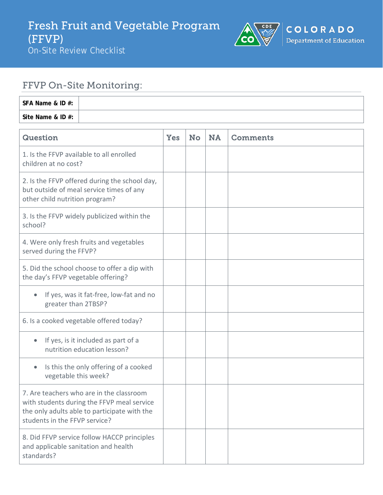

## FFVP On-Site Monitoring:

| SFA Name & ID #:  |  |
|-------------------|--|
| Site Name & ID #: |  |

| <b>Question</b>                                                                                                                                                         |  | <b>No</b> | <b>NA</b> | <b>Comments</b> |
|-------------------------------------------------------------------------------------------------------------------------------------------------------------------------|--|-----------|-----------|-----------------|
| 1. Is the FFVP available to all enrolled<br>children at no cost?                                                                                                        |  |           |           |                 |
| 2. Is the FFVP offered during the school day,<br>but outside of meal service times of any<br>other child nutrition program?                                             |  |           |           |                 |
| 3. Is the FFVP widely publicized within the<br>school?                                                                                                                  |  |           |           |                 |
| 4. Were only fresh fruits and vegetables<br>served during the FFVP?                                                                                                     |  |           |           |                 |
| 5. Did the school choose to offer a dip with<br>the day's FFVP vegetable offering?                                                                                      |  |           |           |                 |
| If yes, was it fat-free, low-fat and no<br>$\bullet$<br>greater than 2TBSP?                                                                                             |  |           |           |                 |
| 6. Is a cooked vegetable offered today?                                                                                                                                 |  |           |           |                 |
| If yes, is it included as part of a<br>$\bullet$<br>nutrition education lesson?                                                                                         |  |           |           |                 |
| Is this the only offering of a cooked<br>$\bullet$<br>vegetable this week?                                                                                              |  |           |           |                 |
| 7. Are teachers who are in the classroom<br>with students during the FFVP meal service<br>the only adults able to participate with the<br>students in the FFVP service? |  |           |           |                 |
| 8. Did FFVP service follow HACCP principles<br>and applicable sanitation and health<br>standards?                                                                       |  |           |           |                 |